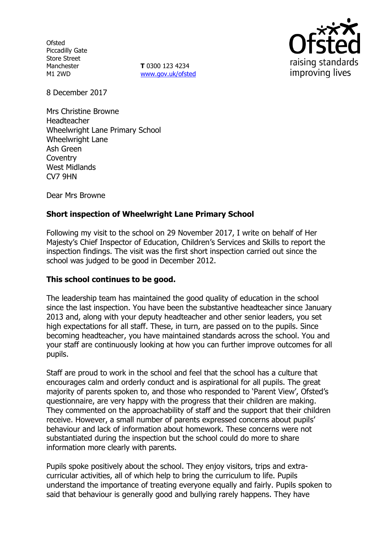**Ofsted** Piccadilly Gate Store Street Manchester M1 2WD

**T** 0300 123 4234 www.gov.uk/ofsted



8 December 2017

Mrs Christine Browne Headteacher Wheelwright Lane Primary School Wheelwright Lane Ash Green **Coventry** West Midlands CV7 9HN

Dear Mrs Browne

# **Short inspection of Wheelwright Lane Primary School**

Following my visit to the school on 29 November 2017, I write on behalf of Her Majesty's Chief Inspector of Education, Children's Services and Skills to report the inspection findings. The visit was the first short inspection carried out since the school was judged to be good in December 2012.

## **This school continues to be good.**

The leadership team has maintained the good quality of education in the school since the last inspection. You have been the substantive headteacher since January 2013 and, along with your deputy headteacher and other senior leaders, you set high expectations for all staff. These, in turn, are passed on to the pupils. Since becoming headteacher, you have maintained standards across the school. You and your staff are continuously looking at how you can further improve outcomes for all pupils.

Staff are proud to work in the school and feel that the school has a culture that encourages calm and orderly conduct and is aspirational for all pupils. The great majority of parents spoken to, and those who responded to 'Parent View', Ofsted's questionnaire, are very happy with the progress that their children are making. They commented on the approachability of staff and the support that their children receive. However, a small number of parents expressed concerns about pupils' behaviour and lack of information about homework. These concerns were not substantiated during the inspection but the school could do more to share information more clearly with parents.

Pupils spoke positively about the school. They enjoy visitors, trips and extracurricular activities, all of which help to bring the curriculum to life. Pupils understand the importance of treating everyone equally and fairly. Pupils spoken to said that behaviour is generally good and bullying rarely happens. They have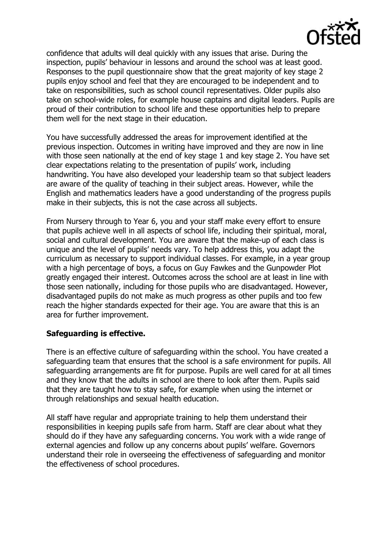confidence that adults will deal quickly with any issues that arise. During the inspection, pupils' behaviour in lessons and around the school was at least good. Responses to the pupil questionnaire show that the great majority of key stage 2 pupils enjoy school and feel that they are encouraged to be independent and to take on responsibilities, such as school council representatives. Older pupils also take on school-wide roles, for example house captains and digital leaders. Pupils are proud of their contribution to school life and these opportunities help to prepare them well for the next stage in their education.

You have successfully addressed the areas for improvement identified at the previous inspection. Outcomes in writing have improved and they are now in line with those seen nationally at the end of key stage 1 and key stage 2. You have set clear expectations relating to the presentation of pupils' work, including handwriting. You have also developed your leadership team so that subject leaders are aware of the quality of teaching in their subject areas. However, while the English and mathematics leaders have a good understanding of the progress pupils make in their subjects, this is not the case across all subjects.

From Nursery through to Year 6, you and your staff make every effort to ensure that pupils achieve well in all aspects of school life, including their spiritual, moral, social and cultural development. You are aware that the make-up of each class is unique and the level of pupils' needs vary. To help address this, you adapt the curriculum as necessary to support individual classes. For example, in a year group with a high percentage of boys, a focus on Guy Fawkes and the Gunpowder Plot greatly engaged their interest. Outcomes across the school are at least in line with those seen nationally, including for those pupils who are disadvantaged. However, disadvantaged pupils do not make as much progress as other pupils and too few reach the higher standards expected for their age. You are aware that this is an area for further improvement.

# **Safeguarding is effective.**

There is an effective culture of safeguarding within the school. You have created a safeguarding team that ensures that the school is a safe environment for pupils. All safeguarding arrangements are fit for purpose. Pupils are well cared for at all times and they know that the adults in school are there to look after them. Pupils said that they are taught how to stay safe, for example when using the internet or through relationships and sexual health education.

All staff have regular and appropriate training to help them understand their responsibilities in keeping pupils safe from harm. Staff are clear about what they should do if they have any safeguarding concerns. You work with a wide range of external agencies and follow up any concerns about pupils' welfare. Governors understand their role in overseeing the effectiveness of safeguarding and monitor the effectiveness of school procedures.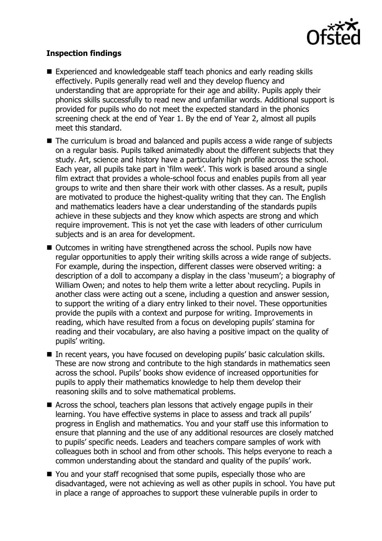

# **Inspection findings**

- Experienced and knowledgeable staff teach phonics and early reading skills effectively. Pupils generally read well and they develop fluency and understanding that are appropriate for their age and ability. Pupils apply their phonics skills successfully to read new and unfamiliar words. Additional support is provided for pupils who do not meet the expected standard in the phonics screening check at the end of Year 1. By the end of Year 2, almost all pupils meet this standard.
- The curriculum is broad and balanced and pupils access a wide range of subjects on a regular basis. Pupils talked animatedly about the different subjects that they study. Art, science and history have a particularly high profile across the school. Each year, all pupils take part in 'film week'. This work is based around a single film extract that provides a whole-school focus and enables pupils from all year groups to write and then share their work with other classes. As a result, pupils are motivated to produce the highest-quality writing that they can. The English and mathematics leaders have a clear understanding of the standards pupils achieve in these subjects and they know which aspects are strong and which require improvement. This is not yet the case with leaders of other curriculum subjects and is an area for development.
- Outcomes in writing have strengthened across the school. Pupils now have regular opportunities to apply their writing skills across a wide range of subjects. For example, during the inspection, different classes were observed writing: a description of a doll to accompany a display in the class 'museum'; a biography of William Owen; and notes to help them write a letter about recycling. Pupils in another class were acting out a scene, including a question and answer session, to support the writing of a diary entry linked to their novel. These opportunities provide the pupils with a context and purpose for writing. Improvements in reading, which have resulted from a focus on developing pupils' stamina for reading and their vocabulary, are also having a positive impact on the quality of pupils' writing.
- In recent years, you have focused on developing pupils' basic calculation skills. These are now strong and contribute to the high standards in mathematics seen across the school. Pupils' books show evidence of increased opportunities for pupils to apply their mathematics knowledge to help them develop their reasoning skills and to solve mathematical problems.
- Across the school, teachers plan lessons that actively engage pupils in their learning. You have effective systems in place to assess and track all pupils' progress in English and mathematics. You and your staff use this information to ensure that planning and the use of any additional resources are closely matched to pupils' specific needs. Leaders and teachers compare samples of work with colleagues both in school and from other schools. This helps everyone to reach a common understanding about the standard and quality of the pupils' work.
- You and your staff recognised that some pupils, especially those who are disadvantaged, were not achieving as well as other pupils in school. You have put in place a range of approaches to support these vulnerable pupils in order to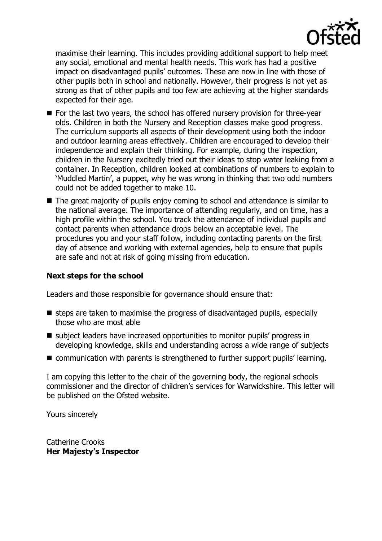

maximise their learning. This includes providing additional support to help meet any social, emotional and mental health needs. This work has had a positive impact on disadvantaged pupils' outcomes. These are now in line with those of other pupils both in school and nationally. However, their progress is not yet as strong as that of other pupils and too few are achieving at the higher standards expected for their age.

- For the last two years, the school has offered nursery provision for three-year olds. Children in both the Nursery and Reception classes make good progress. The curriculum supports all aspects of their development using both the indoor and outdoor learning areas effectively. Children are encouraged to develop their independence and explain their thinking. For example, during the inspection, children in the Nursery excitedly tried out their ideas to stop water leaking from a container. In Reception, children looked at combinations of numbers to explain to 'Muddled Martin', a puppet, why he was wrong in thinking that two odd numbers could not be added together to make 10.
- The great majority of pupils enjoy coming to school and attendance is similar to the national average. The importance of attending regularly, and on time, has a high profile within the school. You track the attendance of individual pupils and contact parents when attendance drops below an acceptable level. The procedures you and your staff follow, including contacting parents on the first day of absence and working with external agencies, help to ensure that pupils are safe and not at risk of going missing from education.

## **Next steps for the school**

Leaders and those responsible for governance should ensure that:

- $\blacksquare$  steps are taken to maximise the progress of disadvantaged pupils, especially those who are most able
- subject leaders have increased opportunities to monitor pupils' progress in developing knowledge, skills and understanding across a wide range of subjects
- communication with parents is strengthened to further support pupils' learning.

I am copying this letter to the chair of the governing body, the regional schools commissioner and the director of children's services for Warwickshire. This letter will be published on the Ofsted website.

Yours sincerely

Catherine Crooks **Her Majesty's Inspector**